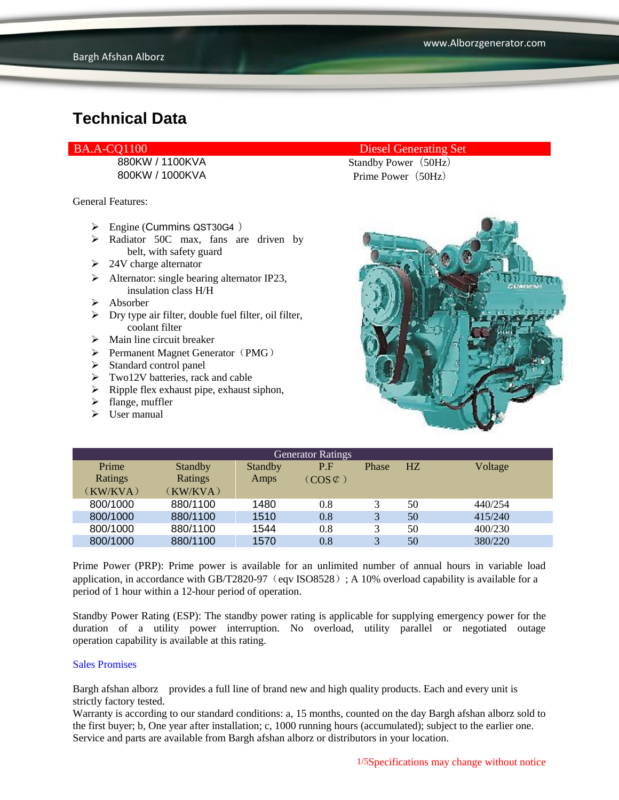General Features:

- $\triangleright$  Engine (Cummins QST30G4)
- > Radiator 50C max, fans are driven by belt, with safety guard
- $\geq 24V$  charge alternator
- $\triangleright$  Alternator: single bearing alternator IP23, insulation class H/H
- $\triangleright$  Absorber
- $\triangleright$  Dry type air filter, double fuel filter, oil filter, coolant filter
- $\triangleright$  Main line circuit breaker
- $\triangleright$  Permanent Magnet Generator (PMG)
- $\triangleright$  Standard control panel
- Two12V batteries, rack and cable
- $\triangleright$  Ripple flex exhaust pipe, exhaust siphon,
- $\triangleright$  flange, muffler
- $\triangleright$  User manual

### BA.A-CQ1100 Diesel Generating Set

880KW / 1100KVA Standby Power (50Hz) 800KW / 1000KVA Prime Power (50Hz)



| <b>Generator Ratings</b> |                |         |                     |       |                |         |
|--------------------------|----------------|---------|---------------------|-------|----------------|---------|
| Prime                    | <b>Standby</b> | Standby | P.F                 | Phase | H <sub>Z</sub> | Voltage |
| Ratings                  | Ratings        | Amps    | $(COS \mathcal{L})$ |       |                |         |
| (KW/KVA)                 | (KW/KVA)       |         |                     |       |                |         |
| 800/1000                 | 880/1100       | 1480    | 0.8                 |       | 50             | 440/254 |
| 800/1000                 | 880/1100       | 1510    | 0.8                 | 3     | 50             | 415/240 |
| 800/1000                 | 880/1100       | 1544    | 0.8                 | 3     | 50             | 400/230 |
| 800/1000                 | 880/1100       | 1570    | 0.8                 | 3     | 50             | 380/220 |

Prime Power (PRP): Prime power is available for an unlimited number of annual hours in variable load application, in accordance with GB/T2820-97 (eqv ISO8528); A 10% overload capability is available for a period of 1 hour within a 12-hour period of operation.

Standby Power Rating (ESP): The standby power rating is applicable for supplying emergency power for the duration of a utility power interruption. No overload, utility parallel or negotiated outage operation capability is available at this rating.

#### Sales Promises

Bargh afshan alborz provides a full line of brand new and high quality products. Each and every unit is strictly factory tested.

Warranty is according to our standard conditions: a, 15 months, counted on the day Bargh afshan alborz sold to the first buyer; b, One year after installation; c, 1000 running hours (accumulated); subject to the earlier one. Service and parts are available from Bargh afshan alborz or distributors in your location.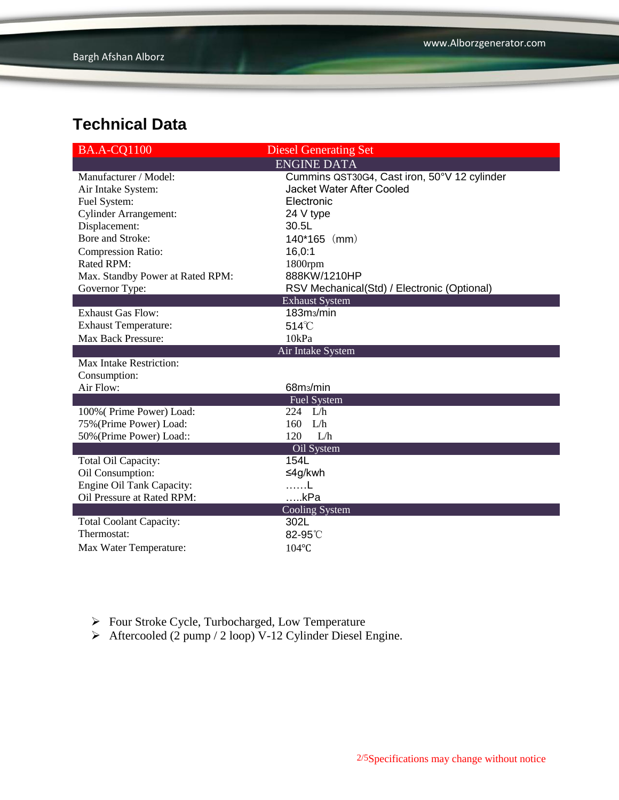| <b>BA.A-CQ1100</b>               | <b>Diesel Generating Set</b>                 |  |  |  |
|----------------------------------|----------------------------------------------|--|--|--|
|                                  | <b>ENGINE DATA</b>                           |  |  |  |
| Manufacturer / Model:            | Cummins QST30G4, Cast iron, 50°V 12 cylinder |  |  |  |
| Air Intake System:               | Jacket Water After Cooled                    |  |  |  |
| Fuel System:                     | Electronic                                   |  |  |  |
| <b>Cylinder Arrangement:</b>     | 24 V type                                    |  |  |  |
| Displacement:                    | 30.5L                                        |  |  |  |
| Bore and Stroke:                 | $140*165$ (mm)                               |  |  |  |
| <b>Compression Ratio:</b>        | 16,0:1                                       |  |  |  |
| Rated RPM:                       | 1800rpm                                      |  |  |  |
| Max. Standby Power at Rated RPM: | 888KW/1210HP                                 |  |  |  |
| Governor Type:                   | RSV Mechanical(Std) / Electronic (Optional)  |  |  |  |
| <b>Exhaust System</b>            |                                              |  |  |  |
| <b>Exhaust Gas Flow:</b>         | 183m <sub>3</sub> /min                       |  |  |  |
| <b>Exhaust Temperature:</b>      | $514^{\circ}$ C                              |  |  |  |
| Max Back Pressure:               | 10kPa                                        |  |  |  |
|                                  | Air Intake System                            |  |  |  |
| Max Intake Restriction:          |                                              |  |  |  |
| Consumption:                     |                                              |  |  |  |
| Air Flow:                        | 68m <sub>3</sub> /min                        |  |  |  |
|                                  | <b>Fuel System</b>                           |  |  |  |
| 100% (Prime Power) Load:         | 224 $L/h$                                    |  |  |  |
| 75% (Prime Power) Load:          | 160<br>L/h                                   |  |  |  |
| 50% (Prime Power) Load::         | 120<br>L/h                                   |  |  |  |
|                                  | Oil System                                   |  |  |  |
| Total Oil Capacity:              | 154L                                         |  |  |  |
| Oil Consumption:                 | ≤4g/kwh                                      |  |  |  |
| <b>Engine Oil Tank Capacity:</b> | $\sim$ 1                                     |  |  |  |
| Oil Pressure at Rated RPM:       | kPa                                          |  |  |  |
|                                  | <b>Cooling System</b>                        |  |  |  |
| <b>Total Coolant Capacity:</b>   | 302L                                         |  |  |  |
| Thermostat:                      | 82-95°C                                      |  |  |  |
| Max Water Temperature:           | $104$ °C                                     |  |  |  |

- Four Stroke Cycle, Turbocharged, Low Temperature
- Aftercooled (2 pump / 2 loop) V-12 Cylinder Diesel Engine.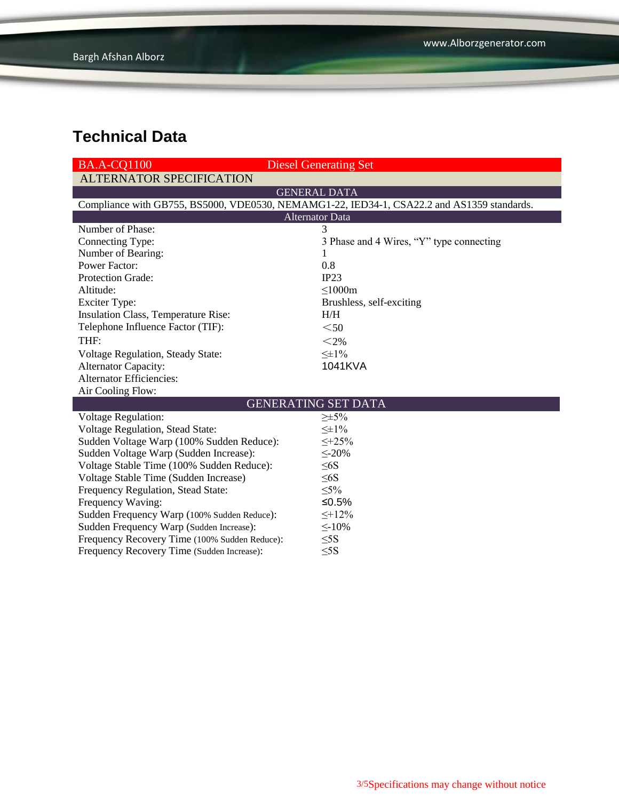| <b>BA.A-CQ1100</b>                                                                         | <b>Diesel Generating Set</b>             |  |  |  |  |
|--------------------------------------------------------------------------------------------|------------------------------------------|--|--|--|--|
| <b>ALTERNATOR SPECIFICATION</b>                                                            |                                          |  |  |  |  |
|                                                                                            | <b>GENERAL DATA</b>                      |  |  |  |  |
| Compliance with GB755, BS5000, VDE0530, NEMAMG1-22, IED34-1, CSA22.2 and AS1359 standards. |                                          |  |  |  |  |
| <b>Alternator Data</b>                                                                     |                                          |  |  |  |  |
| Number of Phase:                                                                           | 3                                        |  |  |  |  |
| Connecting Type:                                                                           | 3 Phase and 4 Wires, "Y" type connecting |  |  |  |  |
| Number of Bearing:                                                                         | 1                                        |  |  |  |  |
| <b>Power Factor:</b>                                                                       | 0.8                                      |  |  |  |  |
| Protection Grade:                                                                          | IP23                                     |  |  |  |  |
| Altitude:                                                                                  | $\leq$ 1000m                             |  |  |  |  |
| <b>Exciter Type:</b>                                                                       | Brushless, self-exciting                 |  |  |  |  |
| Insulation Class, Temperature Rise:                                                        | H/H                                      |  |  |  |  |
| Telephone Influence Factor (TIF):                                                          | $50$                                     |  |  |  |  |
| THF:                                                                                       | $<$ 2%                                   |  |  |  |  |
| <b>Voltage Regulation, Steady State:</b>                                                   | $\leq \pm 1\%$                           |  |  |  |  |
| <b>Alternator Capacity:</b>                                                                | 1041KVA                                  |  |  |  |  |
| <b>Alternator Efficiencies:</b>                                                            |                                          |  |  |  |  |
| Air Cooling Flow:                                                                          |                                          |  |  |  |  |
| <b>GENERATING SET DATA</b>                                                                 |                                          |  |  |  |  |
| <b>Voltage Regulation:</b>                                                                 | $\geq \pm 5\%$                           |  |  |  |  |
| Voltage Regulation, Stead State:                                                           | $\leq \pm 1\%$                           |  |  |  |  |
| Sudden Voltage Warp (100% Sudden Reduce):                                                  | $\leq +25\%$                             |  |  |  |  |
| Sudden Voltage Warp (Sudden Increase):                                                     | $\leq 20\%$                              |  |  |  |  |
| Voltage Stable Time (100% Sudden Reduce):                                                  | $\leq 6S$                                |  |  |  |  |
| Voltage Stable Time (Sudden Increase)                                                      | $\leq 6S$                                |  |  |  |  |
| Frequency Regulation, Stead State:                                                         | $\leq 5\%$                               |  |  |  |  |
| Frequency Waving:                                                                          | ≤ $0.5%$                                 |  |  |  |  |
| Sudden Frequency Warp (100% Sudden Reduce):                                                | $\leq +12\%$                             |  |  |  |  |
| Sudden Frequency Warp (Sudden Increase):                                                   | $\leq$ -10%                              |  |  |  |  |
| Frequency Recovery Time (100% Sudden Reduce):                                              | $\leq$ 5S                                |  |  |  |  |
| Frequency Recovery Time (Sudden Increase):                                                 | $\leq$ 5S                                |  |  |  |  |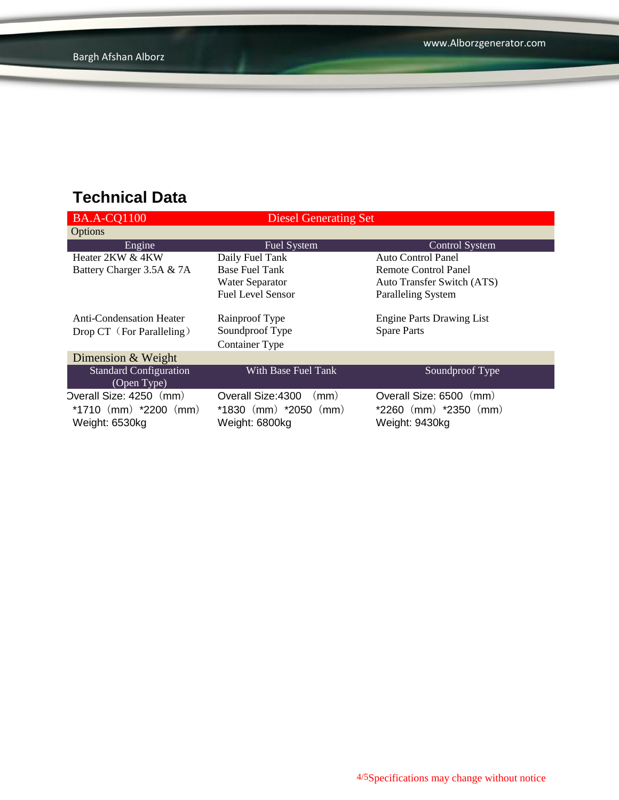| <b>BA.A-CQ1100</b>              | Diesel Generating Set      |                                  |
|---------------------------------|----------------------------|----------------------------------|
| Options                         |                            |                                  |
| Engine                          | <b>Fuel System</b>         | <b>Control System</b>            |
| Heater 2KW & 4KW                | Daily Fuel Tank            | Auto Control Panel               |
| Battery Charger 3.5A & 7A       | <b>Base Fuel Tank</b>      | <b>Remote Control Panel</b>      |
|                                 | Water Separator            | Auto Transfer Switch (ATS)       |
|                                 | <b>Fuel Level Sensor</b>   | <b>Paralleling System</b>        |
|                                 |                            |                                  |
| <b>Anti-Condensation Heater</b> | Rainproof Type             | <b>Engine Parts Drawing List</b> |
| Drop CT (For Paralleling)       | Soundproof Type            | <b>Spare Parts</b>               |
|                                 | <b>Container Type</b>      |                                  |
| Dimension & Weight              |                            |                                  |
| <b>Standard Configuration</b>   | With Base Fuel Tank        | Soundproof Type                  |
| (Open Type)                     |                            |                                  |
| Overall Size: 4250 (mm)         | Overall Size: 4300<br>(mm) | Overall Size: 6500<br>(mm)       |
| *1710 $(mm)$ *2200 $(mm)$       | $*1830$ (mm) $*2050$ (mm)  | $*2260$ (mm) $*2350$ (mm)        |
| Weight: 6530kg                  | Weight: 6800kg             | Weight: 9430kg                   |